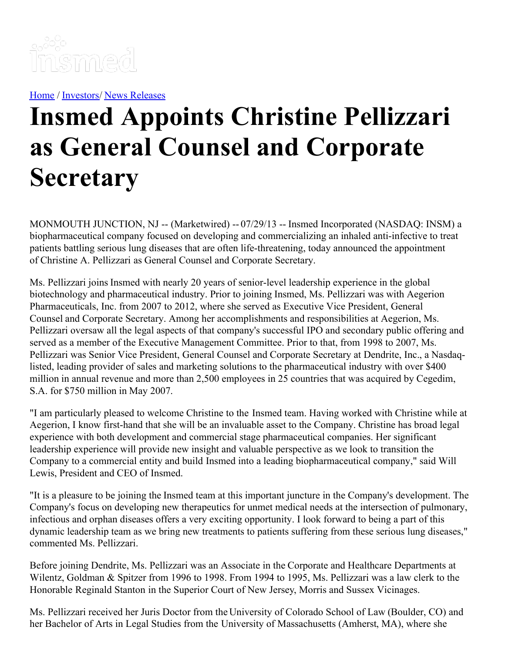

[Home](https://insmed.com/) / [Investors](https://investor.insmed.com/index)/ News [Releases](https://investor.insmed.com/releases)

## **Insmed Appoints Christine Pellizzari as General Counsel and Corporate Secretary**

MONMOUTH JUNCTION, NJ -- (Marketwired) -- 07/29/13 -- Insmed Incorporated (NASDAQ: INSM) a biopharmaceutical company focused on developing and commercializing an inhaled anti-infective to treat patients battling serious lung diseases that are often life-threatening, today announced the appointment of Christine A. Pellizzari as General Counsel and Corporate Secretary.

Ms. Pellizzari joins Insmed with nearly 20 years of senior-level leadership experience in the global biotechnology and pharmaceutical industry. Prior to joining Insmed, Ms. Pellizzari was with Aegerion Pharmaceuticals, Inc. from 2007 to 2012, where she served as Executive Vice President, General Counsel and Corporate Secretary. Among her accomplishments and responsibilities at Aegerion, Ms. Pellizzari oversaw all the legal aspects of that company's successful IPO and secondary public offering and served as a member of the Executive Management Committee. Prior to that, from 1998 to 2007, Ms. Pellizzari was Senior Vice President, General Counsel and Corporate Secretary at Dendrite, Inc., a Nasdaqlisted, leading provider of sales and marketing solutions to the pharmaceutical industry with over \$400 million in annual revenue and more than 2,500 employees in 25 countries that was acquired by Cegedim, S.A. for \$750 million in May 2007.

"I am particularly pleased to welcome Christine to the Insmed team. Having worked with Christine while at Aegerion, I know first-hand that she will be an invaluable asset to the Company. Christine has broad legal experience with both development and commercial stage pharmaceutical companies. Her significant leadership experience will provide new insight and valuable perspective as we look to transition the Company to a commercial entity and build Insmed into a leading biopharmaceutical company," said Will Lewis, President and CEO of Insmed.

"It is a pleasure to be joining the Insmed team at this important juncture in the Company's development. The Company's focus on developing new therapeutics for unmet medical needs at the intersection of pulmonary, infectious and orphan diseases offers a very exciting opportunity. I look forward to being a part of this dynamic leadership team as we bring new treatments to patients suffering from these serious lung diseases," commented Ms. Pellizzari.

Before joining Dendrite, Ms. Pellizzari was an Associate in the Corporate and Healthcare Departments at Wilentz, Goldman & Spitzer from 1996 to 1998. From 1994 to 1995, Ms. Pellizzari was a law clerk to the Honorable Reginald Stanton in the Superior Court of New Jersey, Morris and Sussex Vicinages.

Ms. Pellizzari received her Juris Doctor from the University of Colorado School of Law (Boulder, CO) and her Bachelor of Arts in Legal Studies from the University of Massachusetts (Amherst, MA), where she